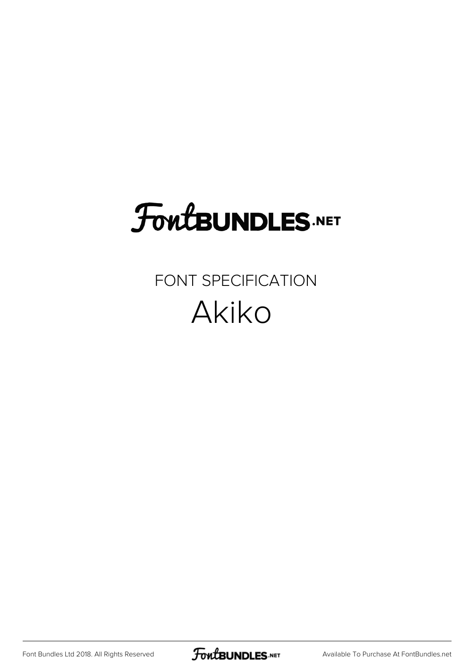# **FoutBUNDLES.NET**

### FONT SPECIFICATION Akiko

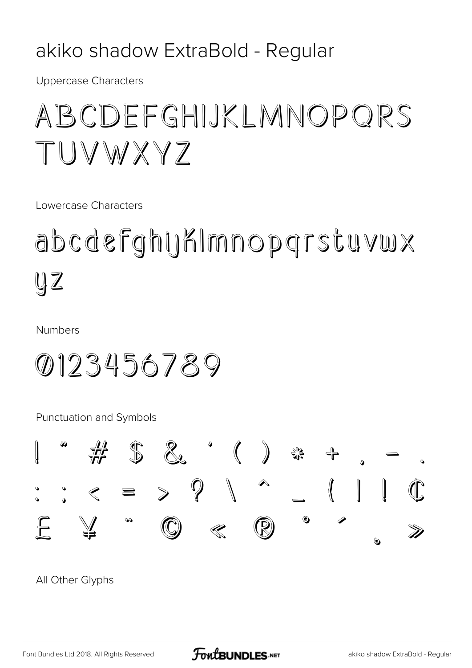#### akiko shadow ExtraBold - Regular

**Uppercase Characters** 

### ABCDEFGHIJKLMNOPORS TUVWXYZ

Lowercase Characters

abcdefghyKImnopgrstuvwx  $\mathbb{U}Z$ 

**Numbers** 

0123456789

Punctuation and Symbols

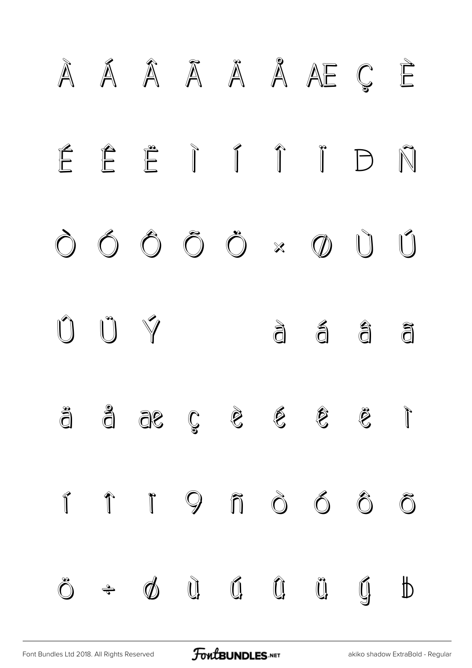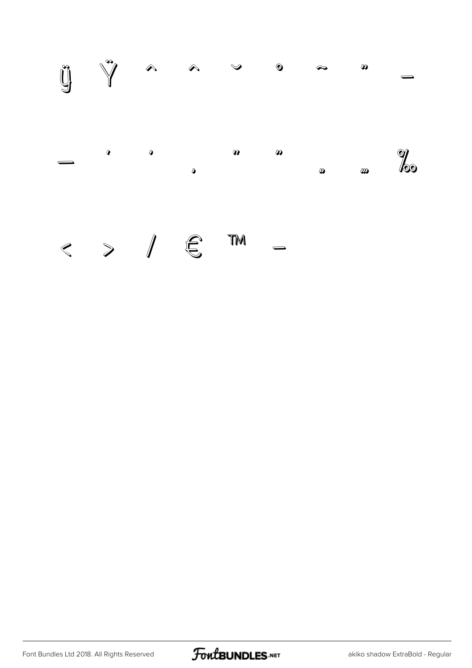

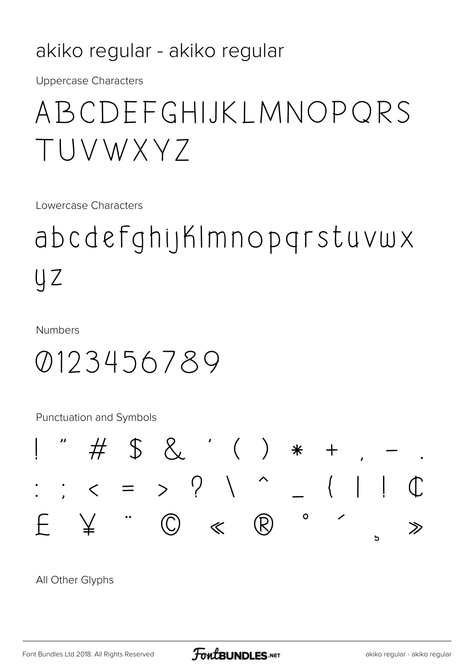#### akiko regular - akiko regular

**Uppercase Characters** 

### ABCDFFGHIJKIMNOPORS TUVWXY7

Lowercase Characters

## abcdefghijKImnopgrstuvwx UZ

**Numbers** 

### 0123456789

**Punctuation and Symbols** 

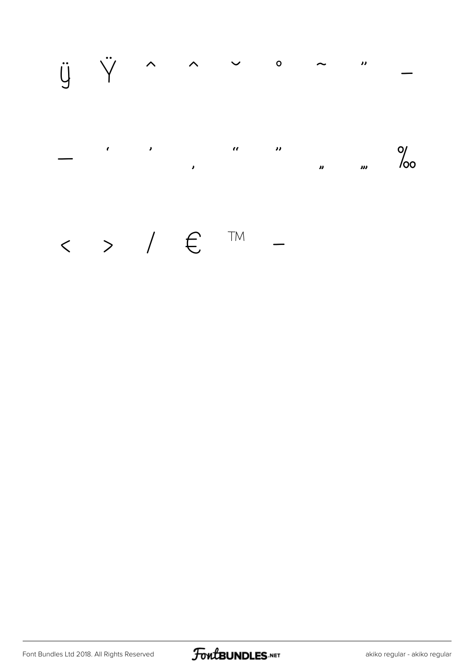

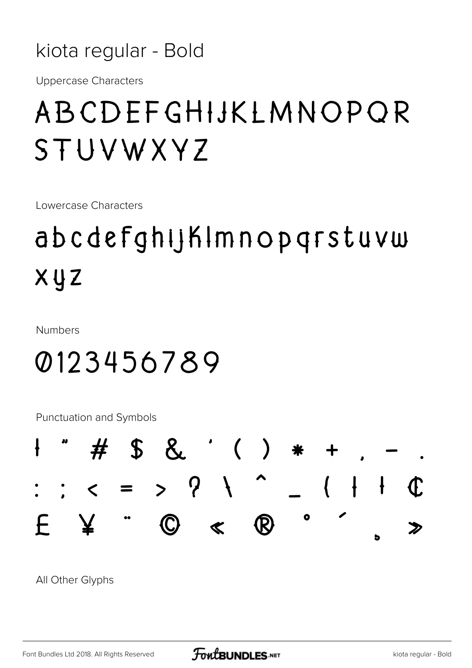kiota regular - Bold

**Uppercase Characters** 

### ABCDEFGHIJKLMNOPOR STUVWXYZ

Lowercase Characters

### abcdefghijKImnopqrstuvw  $X \cup Z$

**Numbers** 

### 0123456789

**Punctuation and Symbols** 

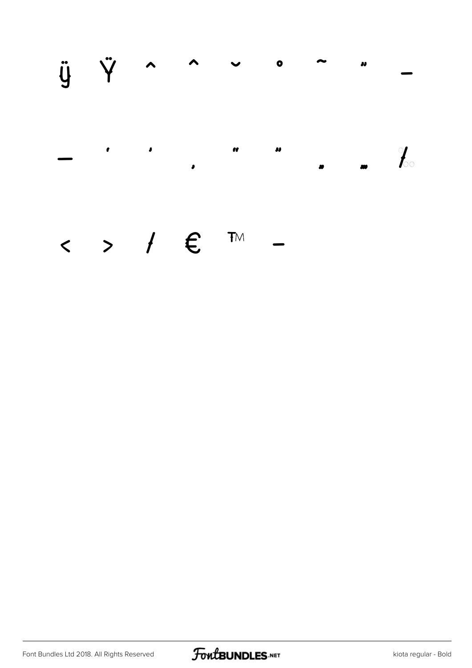ÿ Ÿ  $\blacktriangle$  $\lambda$  $\bullet$  $\boldsymbol{\eta}$  $\bullet$  $\mathbf{c}$  $\pmb{\mathcal{U}}$  $\bullet$  $\frac{1}{\sqrt{2}}$  $\bullet$ 

#### $\leftarrow$  > /  $\epsilon$  $T M$

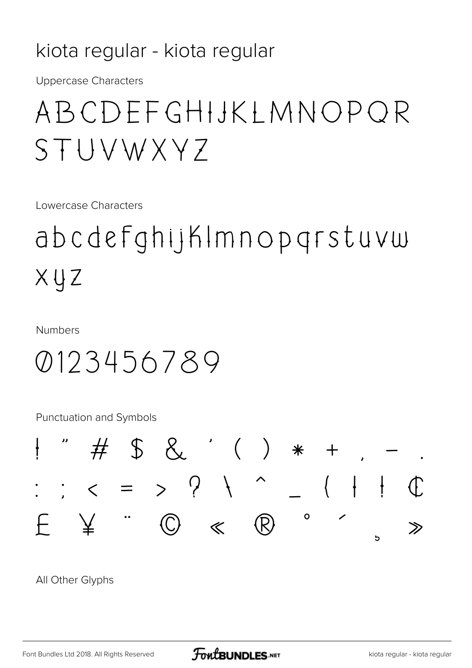#### kiota regular - kiota regular

**Uppercase Characters** 

### ABCDEFGHIJKIMNOPOR STUVWXYZ

Lowercase Characters

abcdefghijKImnopgrstuvw  $XUZ$ 

**Numbers** 

### 0123456789

**Punctuation and Symbols** 

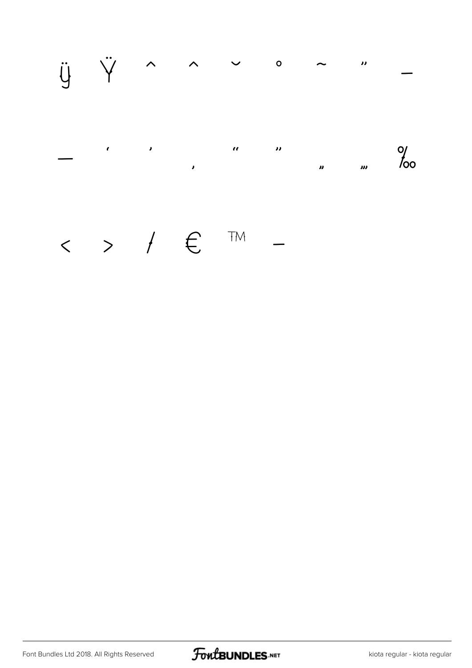

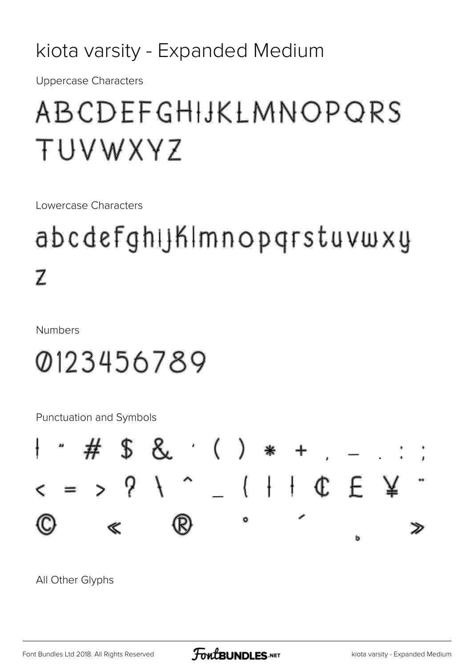### kiota varsity - Expanded Medium

**Uppercase Characters** 

### ABCDEFGHIJKLMNOPQRS TUVWXYZ

Lowercase Characters

### abcdefghijkImnopgrstuvwxy  $\overline{\mathbb{Z}}$

**Numbers** 

### 0123456789

**Punctuation and Symbols** 

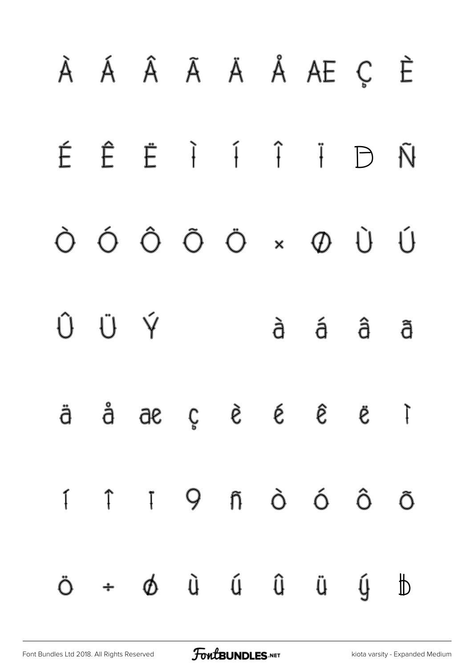[Font Bundles Ltd 2018. All Rights Reserved](https://fontbundles.net/) **FoutBUNDLES.NET** [kiota varsity - Expanded Medium](https://fontbundles.net/)